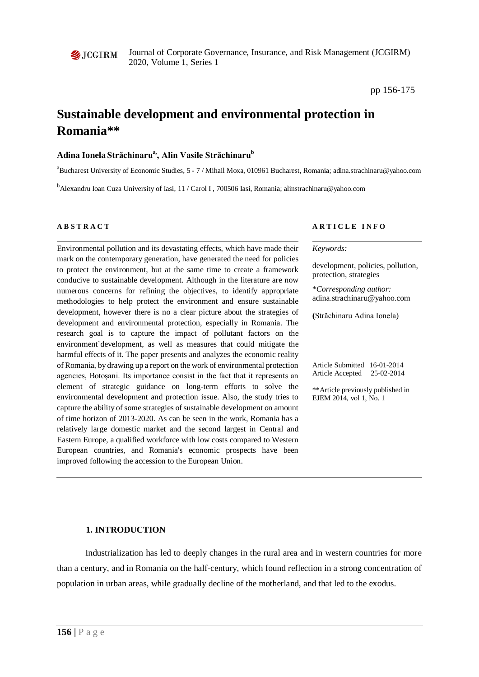

**1. INTRODUCTION**

# Industrialization has led to deeply changes in the rural area and in western countries for more than a century, and in Romania on the half-century, which found reflection in a strong concentration of population in urban areas, while gradually decline of the motherland, and that led to the exodus.

mark on the contemporary generation, have generated the need for policies to protect the environment, but at the same time to create a framework conducive to sustainable development. Although in the literature are now numerous concerns for refining the objectives, to identify appropriate methodologies to help protect the environment and ensure sustainable development, however there is no a clear picture about the strategies of development and environmental protection, especially in Romania. The research goal is to capture the impact of pollutant factors on the environment`development, as well as measures that could mitigate the harmful effects of it. The paper presents and analyzes the economic reality of Romania, by drawing up a report on the work of environmental protection agencies, Botoșani. Its importance consist in the fact that it represents an element of strategic guidance on long-term efforts to solve the environmental development and protection issue. Also, the study tries to capture the ability of some strategies of sustainable development on amount of time horizon of 2013-2020. As can be seen in the work, Romania has a relatively large domestic market and the second largest in Central and Eastern Europe, a qualified workforce with low costs compared to Western European countries, and Romania's economic prospects have been improved following the accession to the European Union.

Environmental pollution and its devastating effects, which have made their

**Adina Ionela Străchinarua,, Alin Vasile Străchinaru<sup>b</sup>**

# **A B S T R A C T A R T I C L E I N F O**

#### *Keywords:*

development, policies, pollution, protection, strategies

\**Corresponding author:*  adina.strachinaru@yahoo.com

**(**Străchinaru Adina Ionela)

Article Submitted 16-01-2014 Article Accepted 25-02-2014

\*\*Article previously published in EJEM 2014, vol 1, No. 1

Journal of Corporate Governance, Insurance, and Risk Management (JCGIRM) 2020, Volume 1, Series 1

**Sustainable development and environmental protection in** 

<sup>b</sup>Alexandru Ioan Cuza University of Iasi, 11 / Carol I, 700506 Iasi, Romania; alinstrachinaru@yahoo.com

<sup>a</sup>Bucharest University of Economic Studies, 5 - 7 / Mihail Moxa, 010961 Bucharest, Romania; adina.strachinaru@yahoo.com

pp 156-175

# $\triangle$  JCGIRM

**Romania\*\***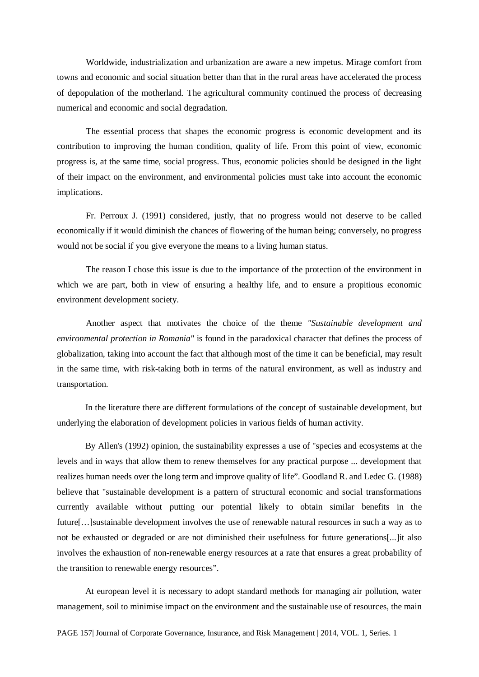Worldwide, industrialization and urbanization are aware a new impetus. Mirage comfort from towns and economic and social situation better than that in the rural areas have accelerated the process of depopulation of the motherland. The agricultural community continued the process of decreasing numerical and economic and social degradation.

The essential process that shapes the economic progress is economic development and its contribution to improving the human condition, quality of life. From this point of view, economic progress is, at the same time, social progress. Thus, economic policies should be designed in the light of their impact on the environment, and environmental policies must take into account the economic implications.

Fr. Perroux J. (1991) considered, justly, that no progress would not deserve to be called economically if it would diminish the chances of flowering of the human being; conversely, no progress would not be social if you give everyone the means to a living human status.

The reason I chose this issue is due to the importance of the protection of the environment in which we are part, both in view of ensuring a healthy life, and to ensure a propitious economic environment development society.

Another aspect that motivates the choice of the theme *"Sustainable development and environmental protection in Romania"* is found in the paradoxical character that defines the process of globalization, taking into account the fact that although most of the time it can be beneficial, may result in the same time, with risk-taking both in terms of the natural environment, as well as industry and transportation.

In the literature there are different formulations of the concept of sustainable development, but underlying the elaboration of development policies in various fields of human activity.

By Allen's (1992) opinion, the sustainability expresses a use of "species and ecosystems at the levels and in ways that allow them to renew themselves for any practical purpose ... development that realizes human needs over the long term and improve quality of life". Goodland R. and Ledec G. (1988) believe that "sustainable development is a pattern of structural economic and social transformations currently available without putting our potential likely to obtain similar benefits in the future[…]sustainable development involves the use of renewable natural resources in such a way as to not be exhausted or degraded or are not diminished their usefulness for future generations[...]it also involves the exhaustion of non-renewable energy resources at a rate that ensures a great probability of the transition to renewable energy resources".

At european level it is necessary to adopt standard methods for managing air pollution, water management, soil to minimise impact on the environment and the sustainable use of resources, the main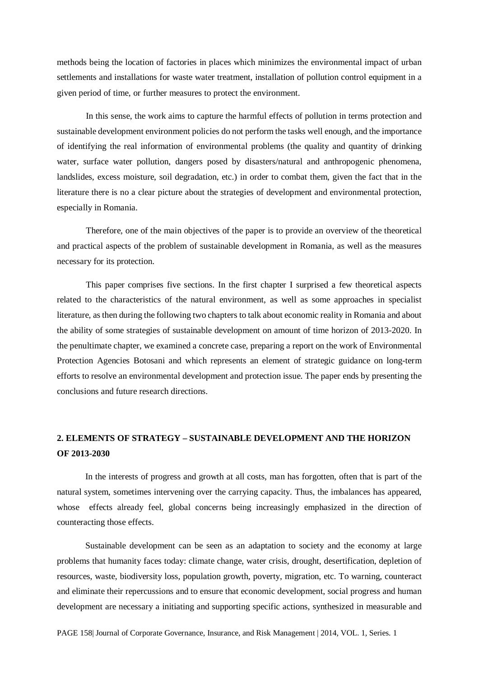methods being the location of factories in places which minimizes the environmental impact of urban settlements and installations for waste water treatment, installation of pollution control equipment in a given period of time, or further measures to protect the environment.

In this sense, the work aims to capture the harmful effects of pollution in terms protection and sustainable development environment policies do not perform the tasks well enough, and the importance of identifying the real information of environmental problems (the quality and quantity of drinking water, surface water pollution, dangers posed by disasters/natural and anthropogenic phenomena, landslides, excess moisture, soil degradation, etc.) in order to combat them, given the fact that in the literature there is no a clear picture about the strategies of development and environmental protection, especially in Romania.

Therefore, one of the main objectives of the paper is to provide an overview of the theoretical and practical aspects of the problem of sustainable development in Romania, as well as the measures necessary for its protection.

This paper comprises five sections. In the first chapter I surprised a few theoretical aspects related to the characteristics of the natural environment, as well as some approaches in specialist literature, as then during the following two chapters to talk about economic reality in Romania and about the ability of some strategies of sustainable development on amount of time horizon of 2013-2020. In the penultimate chapter, we examined a concrete case, preparing a report on the work of Environmental Protection Agencies Botosani and which represents an element of strategic guidance on long-term efforts to resolve an environmental development and protection issue. The paper ends by presenting the conclusions and future research directions.

# **2. ELEMENTS OF STRATEGY – SUSTAINABLE DEVELOPMENT AND THE HORIZON OF 2013-2030**

In the interests of progress and growth at all costs, man has forgotten, often that is part of the natural system, sometimes intervening over the carrying capacity. Thus, the imbalances has appeared, whose effects already feel, global concerns being increasingly emphasized in the direction of counteracting those effects.

Sustainable development can be seen as an adaptation to society and the economy at large problems that humanity faces today: climate change, water crisis, drought, desertification, depletion of resources, waste, biodiversity loss, population growth, poverty, migration, etc. To warning, counteract and eliminate their repercussions and to ensure that economic development, social progress and human development are necessary a initiating and supporting specific actions, synthesized in measurable and

PAGE 158| Journal of Corporate Governance, Insurance, and Risk Management | 2014, VOL. 1, Series. 1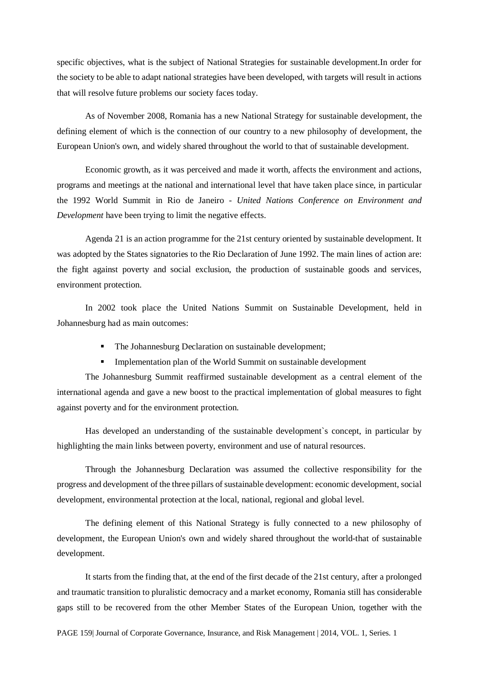specific objectives, what is the subject of National Strategies for sustainable development.In order for the society to be able to adapt national strategies have been developed, with targets will result in actions that will resolve future problems our society faces today.

As of November 2008, Romania has a new National Strategy for sustainable development, the defining element of which is the connection of our country to a new philosophy of development, the European Union's own, and widely shared throughout the world to that of sustainable development.

Economic growth, as it was perceived and made it worth, affects the environment and actions, programs and meetings at the national and international level that have taken place since, in particular the 1992 World Summit in Rio de Janeiro - *United Nations Conference on Environment and Development* have been trying to limit the negative effects.

Agenda 21 is an action programme for the 21st century oriented by sustainable development. It was adopted by the States signatories to the Rio Declaration of June 1992. The main lines of action are: the fight against poverty and social exclusion, the production of sustainable goods and services, environment protection.

In 2002 took place the United Nations Summit on Sustainable Development, held in Johannesburg had as main outcomes:

- The Johannesburg Declaration on sustainable development;
- Implementation plan of the World Summit on sustainable development

The Johannesburg Summit reaffirmed sustainable development as a central element of the international agenda and gave a new boost to the practical implementation of global measures to fight against poverty and for the environment protection.

Has developed an understanding of the sustainable development`s concept, in particular by highlighting the main links between poverty, environment and use of natural resources.

Through the Johannesburg Declaration was assumed the collective responsibility for the progress and development of the three pillars of sustainable development: economic development, social development, environmental protection at the local, national, regional and global level.

The defining element of this National Strategy is fully connected to a new philosophy of development, the European Union's own and widely shared throughout the world-that of sustainable development.

It starts from the finding that, at the end of the first decade of the 21st century, after a prolonged and traumatic transition to pluralistic democracy and a market economy, Romania still has considerable gaps still to be recovered from the other Member States of the European Union, together with the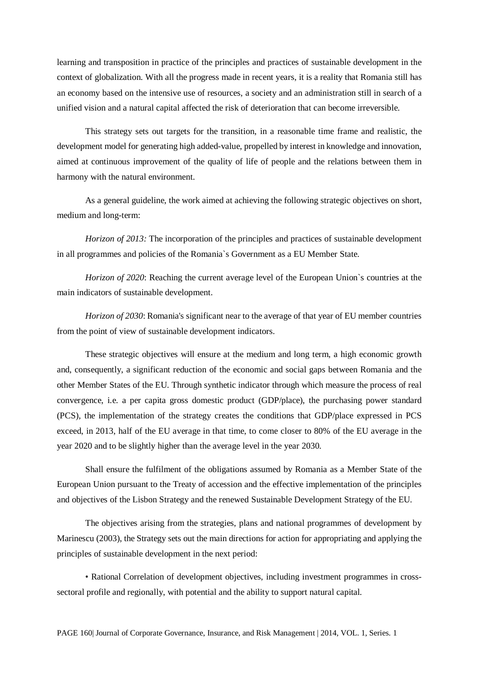learning and transposition in practice of the principles and practices of sustainable development in the context of globalization. With all the progress made in recent years, it is a reality that Romania still has an economy based on the intensive use of resources, a society and an administration still in search of a unified vision and a natural capital affected the risk of deterioration that can become irreversible.

This strategy sets out targets for the transition, in a reasonable time frame and realistic, the development model for generating high added-value, propelled by interest in knowledge and innovation, aimed at continuous improvement of the quality of life of people and the relations between them in harmony with the natural environment.

As a general guideline, the work aimed at achieving the following strategic objectives on short, medium and long-term:

*Horizon of 2013:* The incorporation of the principles and practices of sustainable development in all programmes and policies of the Romania`s Government as a EU Member State.

*Horizon of 2020*: Reaching the current average level of the European Union`s countries at the main indicators of sustainable development.

*Horizon of 2030*: Romania's significant near to the average of that year of EU member countries from the point of view of sustainable development indicators.

These strategic objectives will ensure at the medium and long term, a high economic growth and, consequently, a significant reduction of the economic and social gaps between Romania and the other Member States of the EU. Through synthetic indicator through which measure the process of real convergence, i.e. a per capita gross domestic product (GDP/place), the purchasing power standard (PCS), the implementation of the strategy creates the conditions that GDP/place expressed in PCS exceed, in 2013, half of the EU average in that time, to come closer to 80% of the EU average in the year 2020 and to be slightly higher than the average level in the year 2030.

Shall ensure the fulfilment of the obligations assumed by Romania as a Member State of the European Union pursuant to the Treaty of accession and the effective implementation of the principles and objectives of the Lisbon Strategy and the renewed Sustainable Development Strategy of the EU.

The objectives arising from the strategies, plans and national programmes of development by Marinescu (2003), the Strategy sets out the main directions for action for appropriating and applying the principles of sustainable development in the next period:

• Rational Correlation of development objectives, including investment programmes in crosssectoral profile and regionally, with potential and the ability to support natural capital.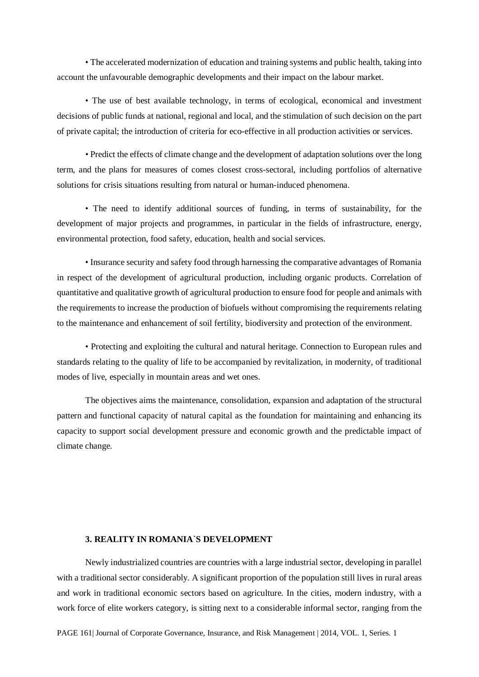• The accelerated modernization of education and training systems and public health, taking into account the unfavourable demographic developments and their impact on the labour market.

• The use of best available technology, in terms of ecological, economical and investment decisions of public funds at national, regional and local, and the stimulation of such decision on the part of private capital; the introduction of criteria for eco-effective in all production activities or services.

• Predict the effects of climate change and the development of adaptation solutions over the long term, and the plans for measures of comes closest cross-sectoral, including portfolios of alternative solutions for crisis situations resulting from natural or human-induced phenomena.

• The need to identify additional sources of funding, in terms of sustainability, for the development of major projects and programmes, in particular in the fields of infrastructure, energy, environmental protection, food safety, education, health and social services.

• Insurance security and safety food through harnessing the comparative advantages of Romania in respect of the development of agricultural production, including organic products. Correlation of quantitative and qualitative growth of agricultural production to ensure food for people and animals with the requirements to increase the production of biofuels without compromising the requirements relating to the maintenance and enhancement of soil fertility, biodiversity and protection of the environment.

• Protecting and exploiting the cultural and natural heritage. Connection to European rules and standards relating to the quality of life to be accompanied by revitalization, in modernity, of traditional modes of live, especially in mountain areas and wet ones.

The objectives aims the maintenance, consolidation, expansion and adaptation of the structural pattern and functional capacity of natural capital as the foundation for maintaining and enhancing its capacity to support social development pressure and economic growth and the predictable impact of climate change.

#### **3. REALITY IN ROMANIA`S DEVELOPMENT**

Newly industrialized countries are countries with a large industrial sector, developing in parallel with a traditional sector considerably. A significant proportion of the population still lives in rural areas and work in traditional economic sectors based on agriculture. In the cities, modern industry, with a work force of elite workers category, is sitting next to a considerable informal sector, ranging from the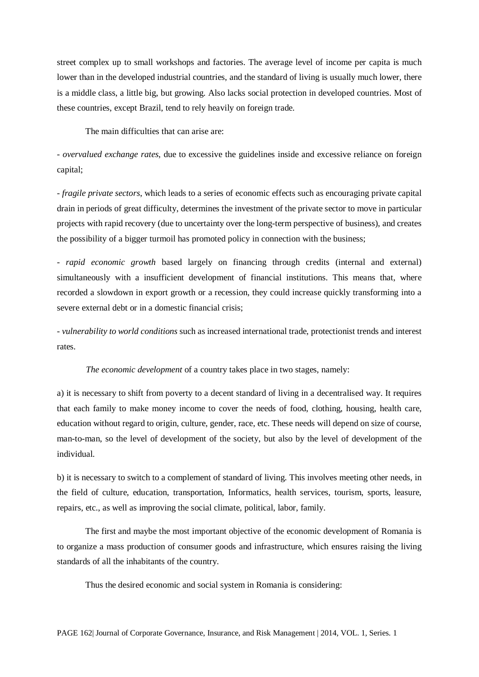street complex up to small workshops and factories. The average level of income per capita is much lower than in the developed industrial countries, and the standard of living is usually much lower, there is a middle class, a little big, but growing. Also lacks social protection in developed countries. Most of these countries, except Brazil, tend to rely heavily on foreign trade.

The main difficulties that can arise are:

- *overvalued exchange rates*, due to excessive the guidelines inside and excessive reliance on foreign capital;

- *fragile private sectors*, which leads to a series of economic effects such as encouraging private capital drain in periods of great difficulty, determines the investment of the private sector to move in particular projects with rapid recovery (due to uncertainty over the long-term perspective of business), and creates the possibility of a bigger turmoil has promoted policy in connection with the business;

- *rapid economic growth* based largely on financing through credits (internal and external) simultaneously with a insufficient development of financial institutions. This means that, where recorded a slowdown in export growth or a recession, they could increase quickly transforming into a severe external debt or in a domestic financial crisis;

- *vulnerability to world conditions* such as increased international trade, protectionist trends and interest rates.

*The economic development* of a country takes place in two stages, namely:

a) it is necessary to shift from poverty to a decent standard of living in a decentralised way. It requires that each family to make money income to cover the needs of food, clothing, housing, health care, education without regard to origin, culture, gender, race, etc. These needs will depend on size of course, man-to-man, so the level of development of the society, but also by the level of development of the individual.

b) it is necessary to switch to a complement of standard of living. This involves meeting other needs, in the field of culture, education, transportation, Informatics, health services, tourism, sports, leasure, repairs, etc., as well as improving the social climate, political, labor, family.

The first and maybe the most important objective of the economic development of Romania is to organize a mass production of consumer goods and infrastructure, which ensures raising the living standards of all the inhabitants of the country.

Thus the desired economic and social system in Romania is considering: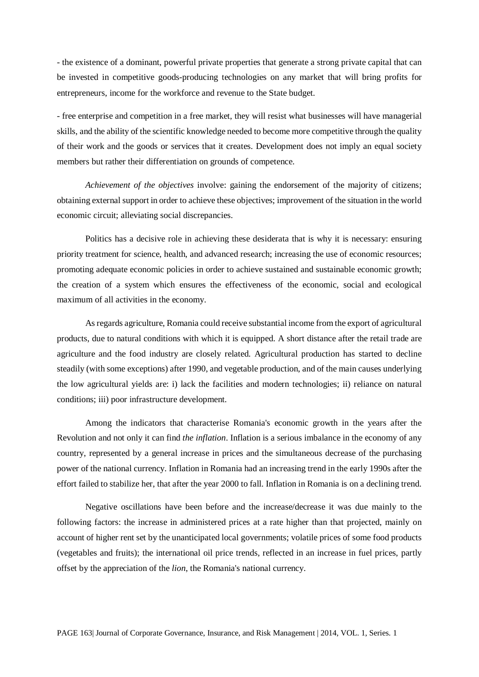- the existence of a dominant, powerful private properties that generate a strong private capital that can be invested in competitive goods-producing technologies on any market that will bring profits for entrepreneurs, income for the workforce and revenue to the State budget.

- free enterprise and competition in a free market, they will resist what businesses will have managerial skills, and the ability of the scientific knowledge needed to become more competitive through the quality of their work and the goods or services that it creates. Development does not imply an equal society members but rather their differentiation on grounds of competence.

*Achievement of the objectives* involve: gaining the endorsement of the majority of citizens; obtaining external support in order to achieve these objectives; improvement of the situation in the world economic circuit; alleviating social discrepancies.

Politics has a decisive role in achieving these desiderata that is why it is necessary: ensuring priority treatment for science, health, and advanced research; increasing the use of economic resources; promoting adequate economic policies in order to achieve sustained and sustainable economic growth; the creation of a system which ensures the effectiveness of the economic, social and ecological maximum of all activities in the economy.

As regards agriculture, Romania could receive substantial income from the export of agricultural products, due to natural conditions with which it is equipped. A short distance after the retail trade are agriculture and the food industry are closely related. Agricultural production has started to decline steadily (with some exceptions) after 1990, and vegetable production, and of the main causes underlying the low agricultural yields are: i) lack the facilities and modern technologies; ii) reliance on natural conditions; iii) poor infrastructure development.

Among the indicators that characterise Romania's economic growth in the years after the Revolution and not only it can find *the inflation*. Inflation is a serious imbalance in the economy of any country, represented by a general increase in prices and the simultaneous decrease of the purchasing power of the national currency. Inflation in Romania had an increasing trend in the early 1990s after the effort failed to stabilize her, that after the year 2000 to fall. Inflation in Romania is on a declining trend.

Negative oscillations have been before and the increase/decrease it was due mainly to the following factors: the increase in administered prices at a rate higher than that projected, mainly on account of higher rent set by the unanticipated local governments; volatile prices of some food products (vegetables and fruits); the international oil price trends, reflected in an increase in fuel prices, partly offset by the appreciation of the *lion*, the Romania's national currency.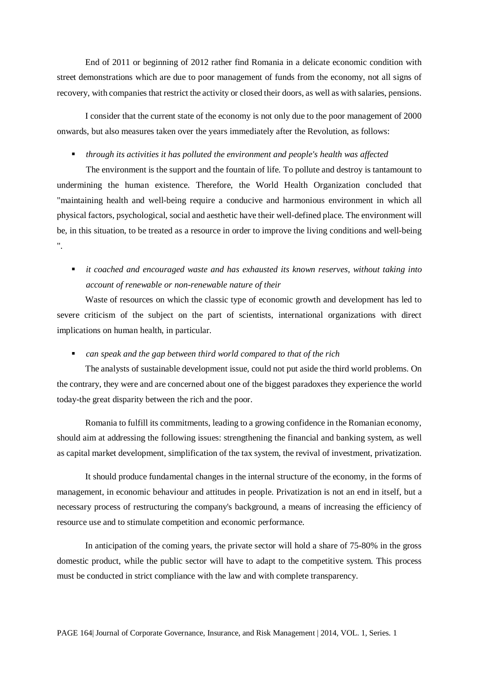End of 2011 or beginning of 2012 rather find Romania in a delicate economic condition with street demonstrations which are due to poor management of funds from the economy, not all signs of recovery, with companies that restrict the activity or closed their doors, as well as with salaries, pensions.

I consider that the current state of the economy is not only due to the poor management of 2000 onwards, but also measures taken over the years immediately after the Revolution, as follows:

*through its activities it has polluted the environment and people's health was affected*

The environment is the support and the fountain of life. To pollute and destroy is tantamount to undermining the human existence. Therefore, the World Health Organization concluded that "maintaining health and well-being require a conducive and harmonious environment in which all physical factors, psychological, social and aesthetic have their well-defined place. The environment will be, in this situation, to be treated as a resource in order to improve the living conditions and well-being ".

 *it coached and encouraged waste and has exhausted its known reserves, without taking into account of renewable or non-renewable nature of their*

Waste of resources on which the classic type of economic growth and development has led to severe criticism of the subject on the part of scientists, international organizations with direct implications on human health, in particular.

*can speak and the gap between third world compared to that of the rich*

The analysts of sustainable development issue, could not put aside the third world problems. On the contrary, they were and are concerned about one of the biggest paradoxes they experience the world today-the great disparity between the rich and the poor.

Romania to fulfill its commitments, leading to a growing confidence in the Romanian economy, should aim at addressing the following issues: strengthening the financial and banking system, as well as capital market development, simplification of the tax system, the revival of investment, privatization.

It should produce fundamental changes in the internal structure of the economy, in the forms of management, in economic behaviour and attitudes in people. Privatization is not an end in itself, but a necessary process of restructuring the company's background, a means of increasing the efficiency of resource use and to stimulate competition and economic performance.

In anticipation of the coming years, the private sector will hold a share of 75-80% in the gross domestic product, while the public sector will have to adapt to the competitive system. This process must be conducted in strict compliance with the law and with complete transparency.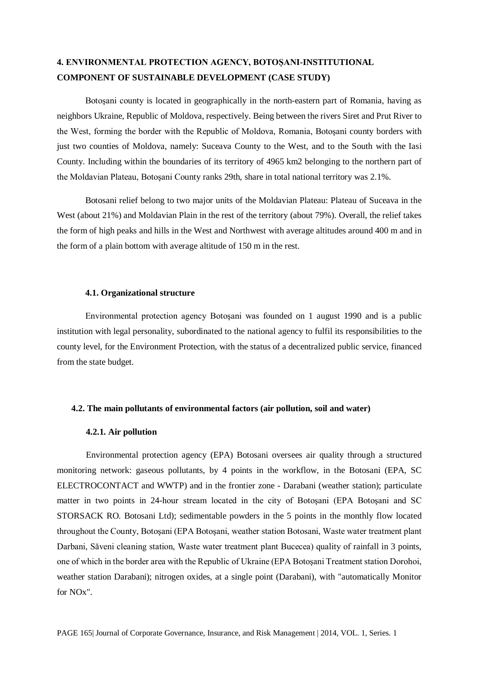# **4. ENVIRONMENTAL PROTECTION AGENCY, BOTOȘANI-INSTITUTIONAL COMPONENT OF SUSTAINABLE DEVELOPMENT (CASE STUDY)**

Botoşani county is located in geographically in the north-eastern part of Romania, having as neighbors Ukraine, Republic of Moldova, respectively. Being between the rivers Siret and Prut River to the West, forming the border with the Republic of Moldova, Romania, Botoşani county borders with just two counties of Moldova, namely: Suceava County to the West, and to the South with the Iasi County. Including within the boundaries of its territory of 4965 km2 belonging to the northern part of the Moldavian Plateau, Botoşani County ranks 29th, share in total national territory was 2.1%.

Botosani relief belong to two major units of the Moldavian Plateau: Plateau of Suceava in the West (about 21%) and Moldavian Plain in the rest of the territory (about 79%). Overall, the relief takes the form of high peaks and hills in the West and Northwest with average altitudes around 400 m and in the form of a plain bottom with average altitude of 150 m in the rest.

#### **4.1. Organizational structure**

Environmental protection agency Botoşani was founded on 1 august 1990 and is a public institution with legal personality, subordinated to the national agency to fulfil its responsibilities to the county level, for the Environment Protection, with the status of a decentralized public service, financed from the state budget.

## **4.2. The main pollutants of environmental factors (air pollution, soil and water)**

#### **4.2.1. Air pollution**

Environmental protection agency (EPA) Botosani oversees air quality through a structured monitoring network: gaseous pollutants, by 4 points in the workflow, in the Botosani (EPA, SC ELECTROCONTACT and WWTP) and in the frontier zone - Darabani (weather station); particulate matter in two points in 24-hour stream located in the city of Botoşani (EPA Botoşani and SC STORSACK RO. Botosani Ltd); sedimentable powders in the 5 points in the monthly flow located throughout the County, Botoşani (EPA Botoşani, weather station Botosani, Waste water treatment plant Darbani, Săveni cleaning station, Waste water treatment plant Bucecea) quality of rainfall in 3 points, one of which in the border area with the Republic of Ukraine (EPA Botoşani Treatment station Dorohoi, weather station Darabani); nitrogen oxides, at a single point (Darabani), with "automatically Monitor for NOx".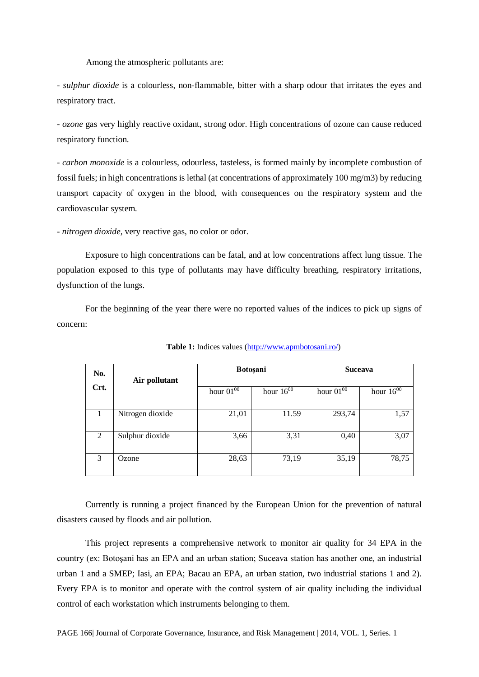Among the atmospheric pollutants are:

- *sulphur dioxide* is a colourless, non-flammable, bitter with a sharp odour that irritates the eyes and respiratory tract.

- *ozone* gas very highly reactive oxidant, strong odor. High concentrations of ozone can cause reduced respiratory function.

- *carbon monoxide* is a colourless, odourless, tasteless, is formed mainly by incomplete combustion of fossil fuels; in high concentrations is lethal (at concentrations of approximately 100 mg/m3) by reducing transport capacity of oxygen in the blood, with consequences on the respiratory system and the cardiovascular system.

- *nitrogen dioxide*, very reactive gas, no color or odor.

Exposure to high concentrations can be fatal, and at low concentrations affect lung tissue. The population exposed to this type of pollutants may have difficulty breathing, respiratory irritations, dysfunction of the lungs.

For the beginning of the year there were no reported values of the indices to pick up signs of concern:

| No.  | Air pollutant    |                | <b>Botoşani</b> | <b>Suceava</b> |                |
|------|------------------|----------------|-----------------|----------------|----------------|
| Crt. |                  | hour $01^{00}$ | hour $16^{00}$  | hour $01^{00}$ | hour $16^{00}$ |
| Ι.   | Nitrogen dioxide | 21,01          | 11.59           | 293,74         | 1,57           |
| 2    | Sulphur dioxide  | 3,66           | 3,31            | 0,40           | 3,07           |
| 3    | Ozone            | 28,63          | 73,19           | 35,19          | 78,75          |

**Table 1:** Indices values [\(http://www.apmbotosani.ro/\)](http://www.apmbotosani.ro/)

Currently is running a project financed by the European Union for the prevention of natural disasters caused by floods and air pollution.

This project represents a comprehensive network to monitor air quality for 34 EPA in the country (ex: Botoşani has an EPA and an urban station; Suceava station has another one, an industrial urban 1 and a SMEP; Iasi, an EPA; Bacau an EPA, an urban station, two industrial stations 1 and 2). Every EPA is to monitor and operate with the control system of air quality including the individual control of each workstation which instruments belonging to them.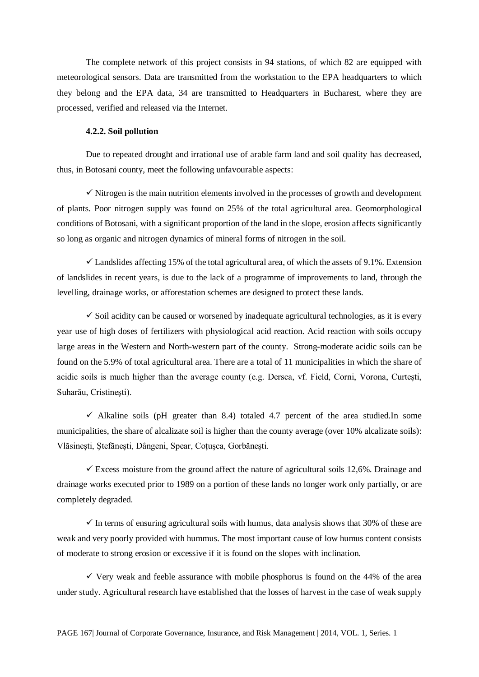The complete network of this project consists in 94 stations, of which 82 are equipped with meteorological sensors. Data are transmitted from the workstation to the EPA headquarters to which they belong and the EPA data, 34 are transmitted to Headquarters in Bucharest, where they are processed, verified and released via the Internet.

#### **4.2.2. Soil pollution**

Due to repeated drought and irrational use of arable farm land and soil quality has decreased, thus, in Botosani county, meet the following unfavourable aspects:

 $\checkmark$  Nitrogen is the main nutrition elements involved in the processes of growth and development of plants. Poor nitrogen supply was found on 25% of the total agricultural area. Geomorphological conditions of Botosani, with a significant proportion of the land in the slope, erosion affects significantly so long as organic and nitrogen dynamics of mineral forms of nitrogen in the soil.

 $\checkmark$  Landslides affecting 15% of the total agricultural area, of which the assets of 9.1%. Extension of landslides in recent years, is due to the lack of a programme of improvements to land, through the levelling, drainage works, or afforestation schemes are designed to protect these lands.

 $\checkmark$  Soil acidity can be caused or worsened by inadequate agricultural technologies, as it is every year use of high doses of fertilizers with physiological acid reaction. Acid reaction with soils occupy large areas in the Western and North-western part of the county. Strong-moderate acidic soils can be found on the 5.9% of total agricultural area. There are a total of 11 municipalities in which the share of acidic soils is much higher than the average county (e.g. Dersca, vf. Field, Corni, Vorona, Curteşti, Suharău, Cristineşti).

 $\checkmark$  Alkaline soils (pH greater than 8.4) totaled 4.7 percent of the area studied.In some municipalities, the share of alcalizate soil is higher than the county average (over 10% alcalizate soils): Vlăsinești, Stefănești, Dângeni, Spear, Cotusca, Gorbănești.

 $\checkmark$  Excess moisture from the ground affect the nature of agricultural soils 12,6%. Drainage and drainage works executed prior to 1989 on a portion of these lands no longer work only partially, or are completely degraded.

 $\checkmark$  In terms of ensuring agricultural soils with humus, data analysis shows that 30% of these are weak and very poorly provided with hummus. The most important cause of low humus content consists of moderate to strong erosion or excessive if it is found on the slopes with inclination.

 $\checkmark$  Very weak and feeble assurance with mobile phosphorus is found on the 44% of the area under study. Agricultural research have established that the losses of harvest in the case of weak supply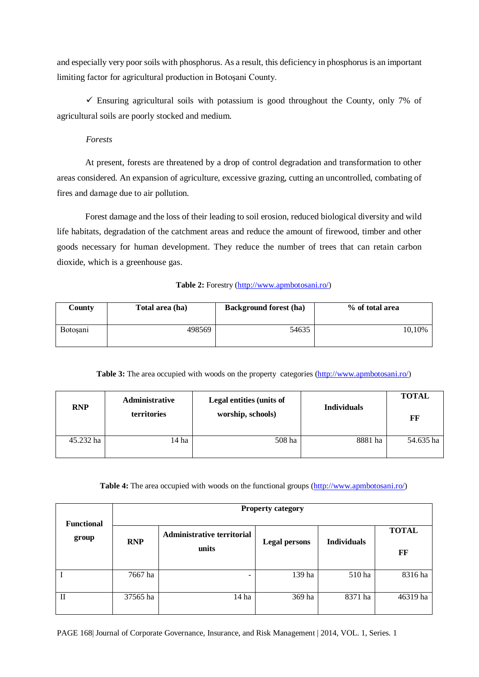and especially very poor soils with phosphorus. As a result, this deficiency in phosphorus is an important limiting factor for agricultural production in Botoşani County.

 $\checkmark$  Ensuring agricultural soils with potassium is good throughout the County, only 7% of agricultural soils are poorly stocked and medium.

*Forests*

At present, forests are threatened by a drop of control degradation and transformation to other areas considered. An expansion of agriculture, excessive grazing, cutting an uncontrolled, combating of fires and damage due to air pollution.

Forest damage and the loss of their leading to soil erosion, reduced biological diversity and wild life habitats, degradation of the catchment areas and reduce the amount of firewood, timber and other goods necessary for human development. They reduce the number of trees that can retain carbon dioxide, which is a greenhouse gas.

# **Table 2:** Forestry [\(http://www.apmbotosani.ro/\)](http://www.apmbotosani.ro/)

| County          | Total area (ha) | <b>Background forest (ha)</b> | % of total area |
|-----------------|-----------------|-------------------------------|-----------------|
| <b>Botosani</b> | 498569          | 54635                         | 10,10%          |

# **Table 3:** The area occupied with woods on the property categories [\(http://www.apmbotosani.ro/\)](http://www.apmbotosani.ro/)

| <b>RNP</b> | <b>Administrative</b><br><b>territories</b> | Legal entities (units of<br>worship, schools) | <b>Individuals</b> | <b>TOTAL</b><br>FF |
|------------|---------------------------------------------|-----------------------------------------------|--------------------|--------------------|
| 45.232 ha  | 14 ha                                       | 508 ha                                        | 8881 ha            | 54.635 ha          |

# Table 4: The area occupied with woods on the functional groups [\(http://www.apmbotosani.ro/\)](http://www.apmbotosani.ro/)

| <b>Functional</b> | <b>Property category</b> |                                            |                      |                    |                    |
|-------------------|--------------------------|--------------------------------------------|----------------------|--------------------|--------------------|
| group             | <b>RNP</b>               | <b>Administrative territorial</b><br>units | <b>Legal persons</b> | <b>Individuals</b> | <b>TOTAL</b><br>FF |
|                   | 7667 ha                  | ۰                                          | 139 ha               | 510 ha             | 8316 ha            |
| $_{\rm II}$       | 37565 ha                 | 14 ha                                      | 369 ha               | 8371 ha            | 46319 ha           |

PAGE 168| Journal of Corporate Governance, Insurance, and Risk Management | 2014, VOL. 1, Series. 1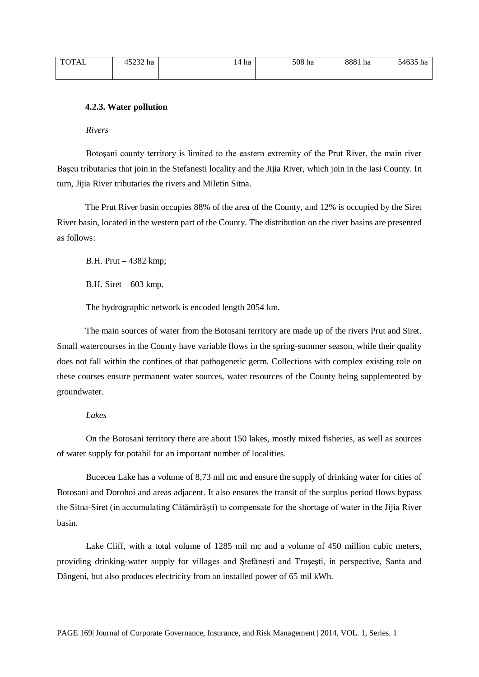| <b>TOTAL</b> | 15232 ha | $14^{\degree}$<br>$-$ + ha | 508 ha | 8881 h<br>ha | 54635 h<br>ha |
|--------------|----------|----------------------------|--------|--------------|---------------|
|              |          |                            |        |              |               |

#### **4.2.3. Water pollution**

*Rivers*

Botoşani county territory is limited to the eastern extremity of the Prut River, the main river Başeu tributaries that join in the Stefanesti locality and the Jijia River, which join in the Iasi County. In turn, Jijia River tributaries the rivers and Miletin Sitna.

The Prut River basin occupies 88% of the area of the County, and 12% is occupied by the Siret River basin, located in the western part of the County. The distribution on the river basins are presented as follows:

B.H. Prut – 4382 kmp;

B.H. Siret – 603 kmp.

The hydrographic network is encoded length 2054 km.

The main sources of water from the Botosani territory are made up of the rivers Prut and Siret. Small watercourses in the County have variable flows in the spring-summer season, while their quality does not fall within the confines of that pathogenetic germ. Collections with complex existing role on these courses ensure permanent water sources, water resources of the County being supplemented by groundwater.

#### *Lakes*

On the Botosani territory there are about 150 lakes, mostly mixed fisheries, as well as sources of water supply for potabil for an important number of localities.

Bucecea Lake has a volume of 8,73 mil mc and ensure the supply of drinking water for cities of Botosani and Dorohoi and areas adjacent. It also ensures the transit of the surplus period flows bypass the Sitna-Siret (in accumulating Cătămărăşti) to compensate for the shortage of water in the Jijia River basin.

Lake Cliff, with a total volume of 1285 mil mc and a volume of 450 million cubic meters, providing drinking-water supply for villages and Ştefăneşti and Truşeşti, in perspective, Santa and Dângeni, but also produces electricity from an installed power of 65 mil kWh.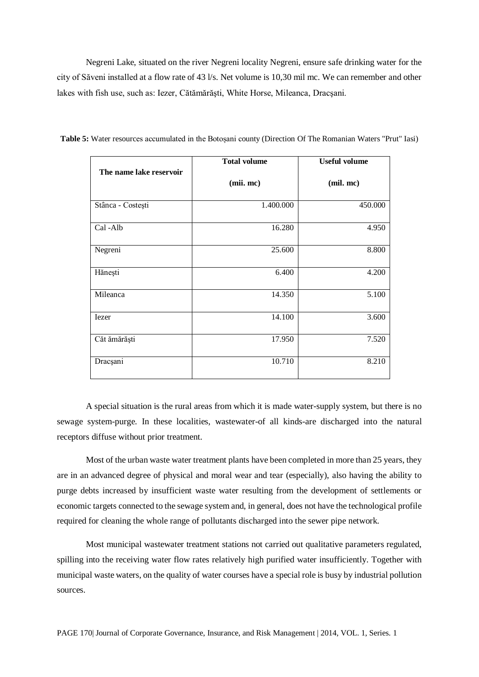Negreni Lake, situated on the river Negreni locality Negreni, ensure safe drinking water for the city of Săveni installed at a flow rate of 43 l/s. Net volume is 10,30 mil mc. We can remember and other lakes with fish use, such as: Iezer, Cătămărăşti, White Horse, Mileanca, Dracşani.

|                         | <b>Total volume</b> | <b>Useful volume</b> |
|-------------------------|---------------------|----------------------|
| The name lake reservoir | (mii. mc)           | (mil. mc)            |
| Stânca - Costești       | 1.400.000           | 450.000              |
| Cal-Alb                 | 16.280              | 4.950                |
| Negreni                 | 25.600              | 8.800                |
| Hănești                 | 6.400               | 4.200                |
| Mileanca                | 14.350              | 5.100                |
| Iezer                   | 14.100              | 3.600                |
| Căt ămărăști            | 17.950              | 7.520                |
| Dracșani                | 10.710              | 8.210                |

**Table 5:** Water resources accumulated in the Botoșani county (Direction Of The Romanian Waters "Prut" Iasi)

A special situation is the rural areas from which it is made water-supply system, but there is no sewage system-purge. In these localities, wastewater-of all kinds-are discharged into the natural receptors diffuse without prior treatment.

Most of the urban waste water treatment plants have been completed in more than 25 years, they are in an advanced degree of physical and moral wear and tear (especially), also having the ability to purge debts increased by insufficient waste water resulting from the development of settlements or economic targets connected to the sewage system and, in general, does not have the technological profile required for cleaning the whole range of pollutants discharged into the sewer pipe network.

Most municipal wastewater treatment stations not carried out qualitative parameters regulated, spilling into the receiving water flow rates relatively high purified water insufficiently. Together with municipal waste waters, on the quality of water courses have a special role is busy by industrial pollution sources.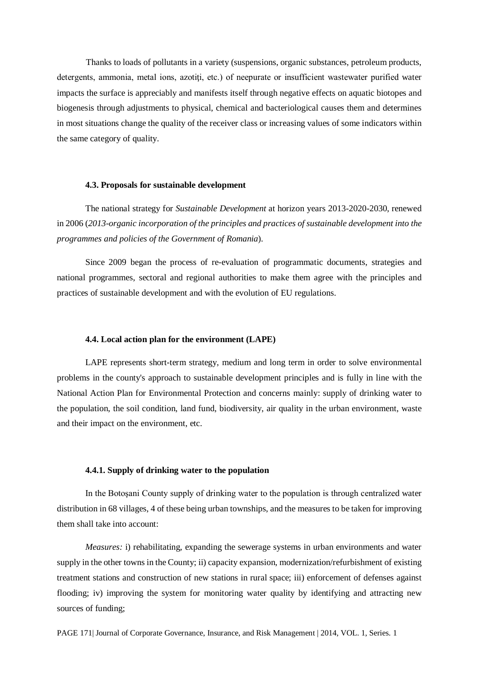Thanks to loads of pollutants in a variety (suspensions, organic substances, petroleum products, detergents, ammonia, metal ions, azotiți, etc.) of neepurate or insufficient wastewater purified water impacts the surface is appreciably and manifests itself through negative effects on aquatic biotopes and biogenesis through adjustments to physical, chemical and bacteriological causes them and determines in most situations change the quality of the receiver class or increasing values of some indicators within the same category of quality.

#### **4.3. Proposals for sustainable development**

The national strategy for *Sustainable Development* at horizon years 2013-2020-2030, renewed in 2006 (*2013-organic incorporation of the principles and practices of sustainable development into the programmes and policies of the Government of Romania*).

Since 2009 began the process of re-evaluation of programmatic documents, strategies and national programmes, sectoral and regional authorities to make them agree with the principles and practices of sustainable development and with the evolution of EU regulations.

## **4.4. Local action plan for the environment (LAPE)**

LAPE represents short-term strategy, medium and long term in order to solve environmental problems in the county's approach to sustainable development principles and is fully in line with the National Action Plan for Environmental Protection and concerns mainly: supply of drinking water to the population, the soil condition, land fund, biodiversity, air quality in the urban environment, waste and their impact on the environment, etc.

# **4.4.1. Supply of drinking water to the population**

In the Botoşani County supply of drinking water to the population is through centralized water distribution in 68 villages, 4 of these being urban townships, and the measures to be taken for improving them shall take into account:

*Measures:* i) rehabilitating, expanding the sewerage systems in urban environments and water supply in the other towns in the County; ii) capacity expansion, modernization/refurbishment of existing treatment stations and construction of new stations in rural space; iii) enforcement of defenses against flooding; iv) improving the system for monitoring water quality by identifying and attracting new sources of funding;

PAGE 171| Journal of Corporate Governance, Insurance, and Risk Management | 2014, VOL. 1, Series. 1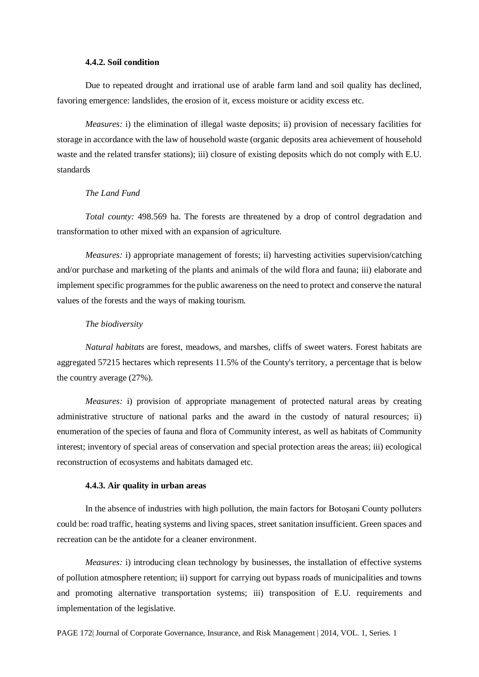# **4.4.2. Soil condition**

Due to repeated drought and irrational use of arable farm land and soil quality has declined, favoring emergence: landslides, the erosion of it, excess moisture or acidity excess etc.

*Measures:* i) the elimination of illegal waste deposits; ii) provision of necessary facilities for storage in accordance with the law of household waste (organic deposits area achievement of household waste and the related transfer stations); iii) closure of existing deposits which do not comply with E.U. standards

## *The Land Fund*

*Total county:* 498.569 ha. The forests are threatened by a drop of control degradation and transformation to other mixed with an expansion of agriculture.

*Measures:* i) appropriate management of forests; ii) harvesting activities supervision/catching and/or purchase and marketing of the plants and animals of the wild flora and fauna; iii) elaborate and implement specific programmes for the public awareness on the need to protect and conserve the natural values of the forests and the ways of making tourism.

# *The biodiversity*

*Natural habitats* are forest, meadows, and marshes, cliffs of sweet waters. Forest habitats are aggregated 57215 hectares which represents 11.5% of the County's territory, a percentage that is below the country average (27%).

*Measures:* i) provision of appropriate management of protected natural areas by creating administrative structure of national parks and the award in the custody of natural resources; ii) enumeration of the species of fauna and flora of Community interest, as well as habitats of Community interest; inventory of special areas of conservation and special protection areas the areas; iii) ecological reconstruction of ecosystems and habitats damaged etc.

#### **4.4.3. Air quality in urban areas**

In the absence of industries with high pollution, the main factors for Botoşani County polluters could be: road traffic, heating systems and living spaces, street sanitation insufficient. Green spaces and recreation can be the antidote for a cleaner environment.

*Measures:* i) introducing clean technology by businesses, the installation of effective systems of pollution atmosphere retention; ii) support for carrying out bypass roads of municipalities and towns and promoting alternative transportation systems; iii) transposition of E.U. requirements and implementation of the legislative.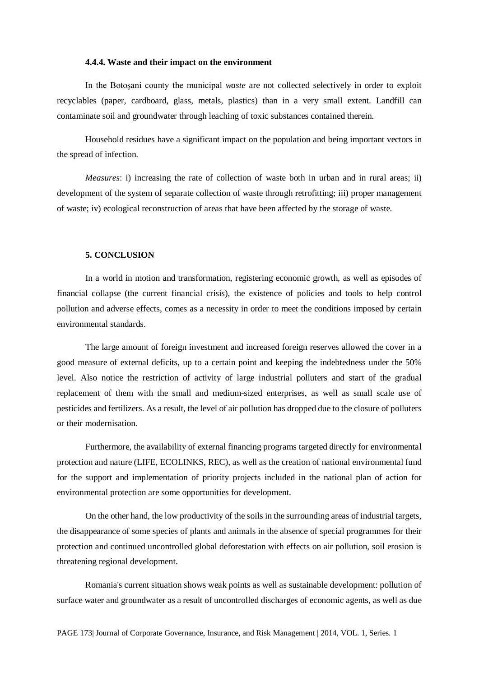# **4.4.4. Waste and their impact on the environment**

In the Botoşani county the municipal *waste* are not collected selectively in order to exploit recyclables (paper, cardboard, glass, metals, plastics) than in a very small extent. Landfill can contaminate soil and groundwater through leaching of toxic substances contained therein.

Household residues have a significant impact on the population and being important vectors in the spread of infection.

*Measures*: i) increasing the rate of collection of waste both in urban and in rural areas; ii) development of the system of separate collection of waste through retrofitting; iii) proper management of waste; iv) ecological reconstruction of areas that have been affected by the storage of waste.

#### **5. CONCLUSION**

In a world in motion and transformation, registering economic growth, as well as episodes of financial collapse (the current financial crisis), the existence of policies and tools to help control pollution and adverse effects, comes as a necessity in order to meet the conditions imposed by certain environmental standards.

The large amount of foreign investment and increased foreign reserves allowed the cover in a good measure of external deficits, up to a certain point and keeping the indebtedness under the 50% level. Also notice the restriction of activity of large industrial polluters and start of the gradual replacement of them with the small and medium-sized enterprises, as well as small scale use of pesticides and fertilizers. As a result, the level of air pollution has dropped due to the closure of polluters or their modernisation.

Furthermore, the availability of external financing programs targeted directly for environmental protection and nature (LIFE, ECOLINKS, REC), as well as the creation of national environmental fund for the support and implementation of priority projects included in the national plan of action for environmental protection are some opportunities for development.

On the other hand, the low productivity of the soils in the surrounding areas of industrial targets, the disappearance of some species of plants and animals in the absence of special programmes for their protection and continued uncontrolled global deforestation with effects on air pollution, soil erosion is threatening regional development.

Romania's current situation shows weak points as well as sustainable development: pollution of surface water and groundwater as a result of uncontrolled discharges of economic agents, as well as due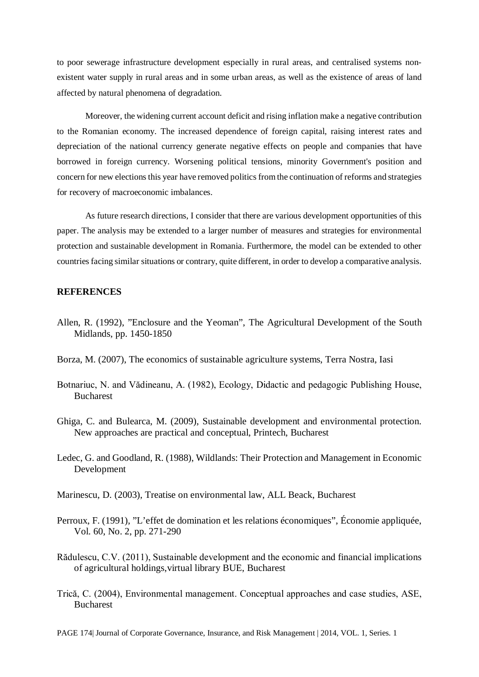to poor sewerage infrastructure development especially in rural areas, and centralised systems nonexistent water supply in rural areas and in some urban areas, as well as the existence of areas of land affected by natural phenomena of degradation.

Moreover, the widening current account deficit and rising inflation make a negative contribution to the Romanian economy. The increased dependence of foreign capital, raising interest rates and depreciation of the national currency generate negative effects on people and companies that have borrowed in foreign currency. Worsening political tensions, minority Government's position and concern for new elections this year have removed politics from the continuation of reforms and strategies for recovery of macroeconomic imbalances.

As future research directions, I consider that there are various development opportunities of this paper. The analysis may be extended to a larger number of measures and strategies for environmental protection and sustainable development in Romania. Furthermore, the model can be extended to other countries facing similar situations or contrary, quite different, in order to develop a comparative analysis.

# **REFERENCES**

- Allen, R. (1992), "Enclosure and the Yeoman", The Agricultural Development of the South Midlands, pp. 1450-1850
- Borza, M. (2007), The economics of sustainable agriculture systems, Terra Nostra, Iasi
- Botnariuc, N. and Vădineanu, A. (1982), Ecology, Didactic and pedagogic Publishing House, Bucharest
- Ghiga, C. and Bulearca, M. (2009), Sustainable development and environmental protection. New approaches are practical and conceptual, Printech, Bucharest
- Ledec, G. and Goodland, R. (1988), Wildlands: Their Protection and Management in Economic Development
- Marinescu, D. (2003), Treatise on environmental law, ALL Beack, Bucharest
- Perroux, F. (1991), "L'effet de domination et les relations économiques", Économie appliquée, Vol. 60, No. 2, pp. 271-290
- Rădulescu, C.V. (2011), Sustainable development and the economic and financial implications of agricultural holdings,virtual library BUE, Bucharest
- Trică, C. (2004), Environmental management. Conceptual approaches and case studies, ASE, Bucharest